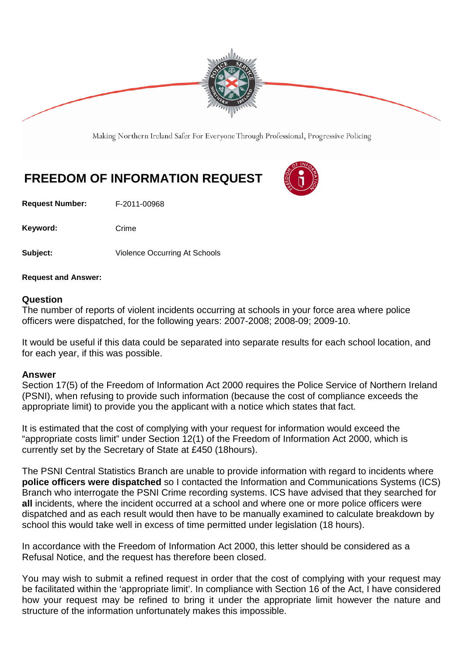

Making Northern Ireland Safer For Everyone Through Professional, Progressive Policing

# **FREEDOM OF INFORMATION REQUEST**

**Request Number:** F-2011-00968

Keyword: Crime

**Subject:** Violence Occurring At Schools

**Request and Answer:**

#### **Question**

The number of reports of violent incidents occurring at schools in your force area where police officers were dispatched, for the following years: 2007-2008; 2008-09; 2009-10.

It would be useful if this data could be separated into separate results for each school location, and for each year, if this was possible.

#### **Answer**

Section 17(5) of the Freedom of Information Act 2000 requires the Police Service of Northern Ireland (PSNI), when refusing to provide such information (because the cost of compliance exceeds the appropriate limit) to provide you the applicant with a notice which states that fact.

It is estimated that the cost of complying with your request for information would exceed the "appropriate costs limit" under Section 12(1) of the Freedom of Information Act 2000, which is currently set by the Secretary of State at £450 (18hours).

The PSNI Central Statistics Branch are unable to provide information with regard to incidents where **police officers were dispatched** so I contacted the Information and Communications Systems (ICS) Branch who interrogate the PSNI Crime recording systems. ICS have advised that they searched for **all** incidents, where the incident occurred at a school and where one or more police officers were dispatched and as each result would then have to be manually examined to calculate breakdown by school this would take well in excess of time permitted under legislation (18 hours).

In accordance with the Freedom of Information Act 2000, this letter should be considered as a Refusal Notice, and the request has therefore been closed.

You may wish to submit a refined request in order that the cost of complying with your request may be facilitated within the 'appropriate limit'. In compliance with Section 16 of the Act, I have considered how your request may be refined to bring it under the appropriate limit however the nature and structure of the information unfortunately makes this impossible.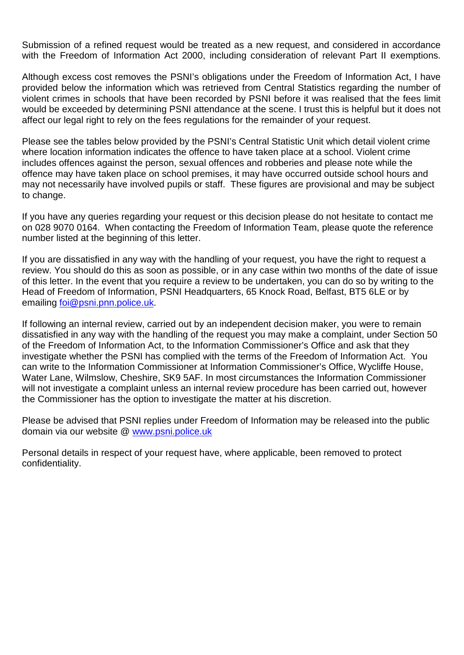Submission of a refined request would be treated as a new request, and considered in accordance with the Freedom of Information Act 2000, including consideration of relevant Part II exemptions.

Although excess cost removes the PSNI's obligations under the Freedom of Information Act, I have provided below the information which was retrieved from Central Statistics regarding the number of violent crimes in schools that have been recorded by PSNI before it was realised that the fees limit would be exceeded by determining PSNI attendance at the scene. I trust this is helpful but it does not affect our legal right to rely on the fees regulations for the remainder of your request.

Please see the tables below provided by the PSNI's Central Statistic Unit which detail violent crime where location information indicates the offence to have taken place at a school. Violent crime includes offences against the person, sexual offences and robberies and please note while the offence may have taken place on school premises, it may have occurred outside school hours and may not necessarily have involved pupils or staff. These figures are provisional and may be subject to change.

If you have any queries regarding your request or this decision please do not hesitate to contact me on 028 9070 0164. When contacting the Freedom of Information Team, please quote the reference number listed at the beginning of this letter.

If you are dissatisfied in any way with the handling of your request, you have the right to request a review. You should do this as soon as possible, or in any case within two months of the date of issue of this letter. In the event that you require a review to be undertaken, you can do so by writing to the Head of Freedom of Information, PSNI Headquarters, 65 Knock Road, Belfast, BT5 6LE or by emailing [foi@psni.pnn.police.uk.](mailto:foi@psni.pnn.police.uk)

If following an internal review, carried out by an independent decision maker, you were to remain dissatisfied in any way with the handling of the request you may make a complaint, under Section 50 of the Freedom of Information Act, to the Information Commissioner's Office and ask that they investigate whether the PSNI has complied with the terms of the Freedom of Information Act. You can write to the Information Commissioner at Information Commissioner's Office, Wycliffe House, Water Lane, Wilmslow, Cheshire, SK9 5AF. In most circumstances the Information Commissioner will not investigate a complaint unless an internal review procedure has been carried out, however the Commissioner has the option to investigate the matter at his discretion.

Please be advised that PSNI replies under Freedom of Information may be released into the public domain via our website @ [www.psni.police.uk](http://www.psni.police.uk/)

Personal details in respect of your request have, where applicable, been removed to protect confidentiality.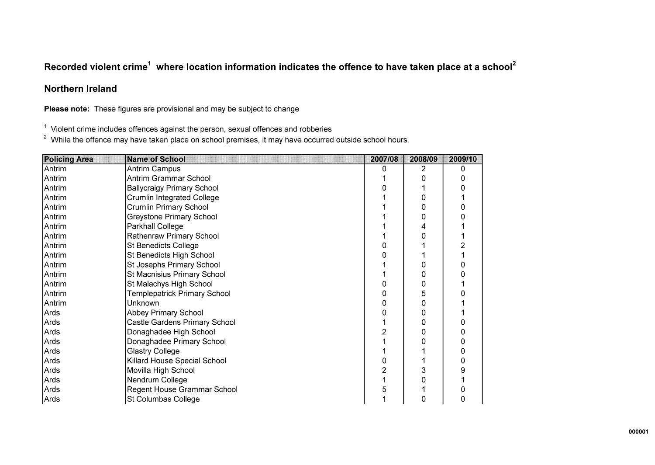## Recorded violent crime<sup>1</sup> where location information indicates the offence to have taken place at a school<sup>2</sup>

### **Northern Ireland**

Please note: These figures are provisional and may be subject to change

 $\frac{1}{2}$  Violent crime includes offences against the person, sexual offences and robberies<br>
<sup>2</sup> While the offence may have taken place on school premises, it may have occurred outside school hours.

| <b>Policing Area</b> | <b>Name of School</b>             | 2007/08 | 2008/09 | 2009/10 |
|----------------------|-----------------------------------|---------|---------|---------|
| Antrim               | Antrim Campus                     | n       | 2       | 0       |
| Antrim               | Antrim Grammar School             |         | O       |         |
| Antrim               | <b>Ballycraigy Primary School</b> |         |         |         |
| Antrim               | Crumlin Integrated College        |         | Ω       |         |
| Antrim               | <b>Crumlin Primary School</b>     |         |         |         |
| Antrim               | Greystone Primary School          |         | 0       |         |
| Antrim               | Parkhall College                  |         | 4       |         |
| Antrim               | Rathenraw Primary School          |         | ი       |         |
| Antrim               | <b>St Benedicts College</b>       |         |         |         |
| Antrim               | St Benedicts High School          |         |         |         |
| Antrim               | St Josephs Primary School         |         | ი       |         |
| Antrim               | St Macnisius Primary School       |         | 0       |         |
| Antrim               | St Malachys High School           |         | 0       |         |
| Antrim               | Templepatrick Primary School      |         | 5       |         |
| Antrim               | Unknown                           |         | 0       |         |
| Ards                 | Abbey Primary School              |         | 0       |         |
| Ards                 | Castle Gardens Primary School     |         | 0       |         |
| Ards                 | Donaghadee High School            |         | 0       | 0       |
| Ards                 | Donaghadee Primary School         |         |         |         |
| Ards                 | Glastry College                   |         |         |         |
| Ards                 | Killard House Special School      |         |         |         |
| Ards                 | Movilla High School               |         |         |         |
| Ards                 | Nendrum College                   |         | ი       |         |
| Ards                 | Regent House Grammar School       |         |         |         |
| Ards                 | St Columbas College               |         | 0       |         |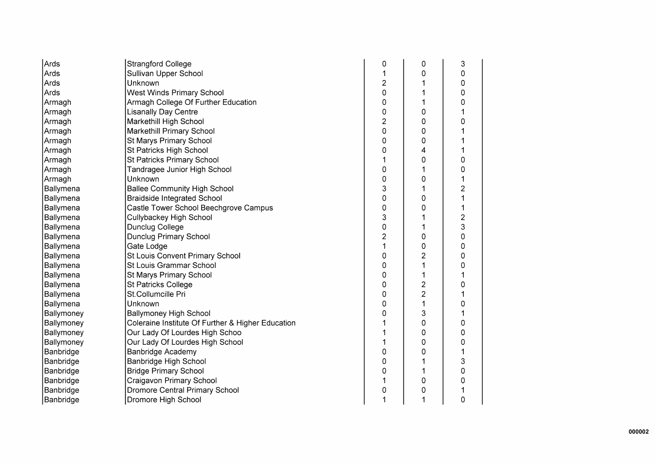| Ards       | <b>Strangford College</b>                         | 0              | 0                       | 3                       |
|------------|---------------------------------------------------|----------------|-------------------------|-------------------------|
| Ards       | Sullivan Upper School                             |                | 0                       | 0                       |
| Ards       | Unknown                                           | $\overline{c}$ |                         | 0                       |
| Ards       | West Winds Primary School                         | 0              |                         | 0                       |
| Armagh     | Armagh College Of Further Education               | 0              |                         | 0                       |
| Armagh     | <b>Lisanally Day Centre</b>                       | 0              | 0                       | 1                       |
| Armagh     | Markethill High School                            | $\overline{2}$ | 0                       | 0                       |
| Armagh     | Markethill Primary School                         | 0              | 0                       | 1                       |
| Armagh     | St Marys Primary School                           | 0              | 0                       |                         |
| Armagh     | St Patricks High School                           | 0              | 4                       |                         |
| Armagh     | St Patricks Primary School                        |                | 0                       | 0                       |
| Armagh     | Tandragee Junior High School                      | 0              |                         | 0                       |
| Armagh     | Unknown                                           | 0              | 0                       | 1                       |
| Ballymena  | <b>Ballee Community High School</b>               | 3              |                         | $\overline{2}$          |
| Ballymena  | <b>Braidside Integrated School</b>                | 0              | 0                       | 1                       |
| Ballymena  | Castle Tower School Beechgrove Campus             | 0              | 0                       | 1                       |
| Ballymena  | Cullybackey High School                           | 3              |                         | $\overline{\mathbf{c}}$ |
| Ballymena  | <b>Dunclug College</b>                            | 0              |                         | 3                       |
| Ballymena  | <b>Dunclug Primary School</b>                     | $\overline{2}$ | 0                       | 0                       |
| Ballymena  | Gate Lodge                                        | 1              | 0                       | 0                       |
| Ballymena  | St Louis Convent Primary School                   | 0              | $\overline{c}$          | 0                       |
| Ballymena  | St Louis Grammar School                           | 0              |                         | 0                       |
| Ballymena  | St Marys Primary School                           | 0              |                         | 1                       |
| Ballymena  | <b>St Patricks College</b>                        | 0              | $\overline{\mathbf{c}}$ | 0                       |
| Ballymena  | St.Collumcille Pri                                | 0              | $\overline{c}$          | 1                       |
| Ballymena  | Unknown                                           | 0              |                         | 0                       |
| Ballymoney | <b>Ballymoney High School</b>                     | 0              | 3                       |                         |
| Ballymoney | Coleraine Institute Of Further & Higher Education |                | 0                       | 0                       |
| Ballymoney | Our Lady Of Lourdes High Schoo                    | 1              | 0                       | 0                       |
| Ballymoney | Our Lady Of Lourdes High School                   | 1              | 0                       | 0                       |
| Banbridge  | <b>Banbridge Academy</b>                          | 0              | 0                       | 1                       |
| Banbridge  | Banbridge High School                             | 0              |                         | 3                       |
| Banbridge  | <b>Bridge Primary School</b>                      | 0              |                         | 0                       |
| Banbridge  | Craigavon Primary School                          |                | 0                       | 0                       |
| Banbridge  | <b>Dromore Central Primary School</b>             | 0              | 0                       |                         |
| Banbridge  | Dromore High School                               | 1              | 1                       | 0                       |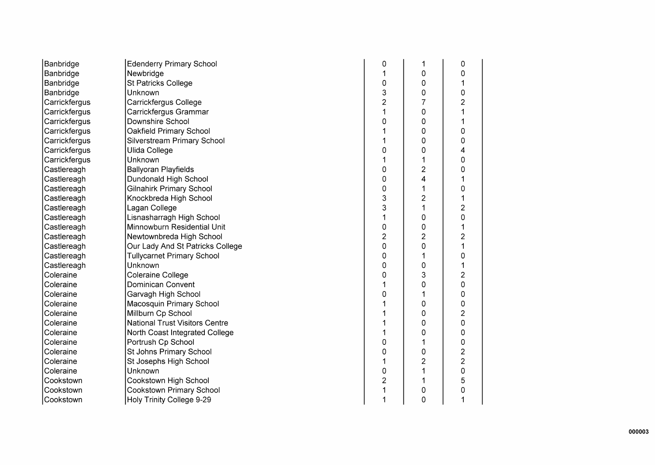| Banbridge     | <b>Edenderry Primary School</b>       | 0              | 1              | 0                       |
|---------------|---------------------------------------|----------------|----------------|-------------------------|
| Banbridge     | Newbridge                             |                | 0              | 0                       |
| Banbridge     | <b>St Patricks College</b>            | $\mathsf 0$    | 0              | 1                       |
| Banbridge     | Unknown                               | 3              | 0              | 0                       |
| Carrickfergus | Carrickfergus College                 | $\overline{2}$ | $\overline{7}$ | $\overline{2}$          |
| Carrickfergus | Carrickfergus Grammar                 | 1              | 0              | 1                       |
| Carrickfergus | Downshire School                      | 0              | 0              | 1                       |
| Carrickfergus | Oakfield Primary School               |                | 0              | 0                       |
| Carrickfergus | Silverstream Primary School           |                | 0              | 0                       |
| Carrickfergus | Ulida College                         | 0              | 0              | 4                       |
| Carrickfergus | Unknown                               |                | 1              | 0                       |
| Castlereagh   | <b>Ballyoran Playfields</b>           | 0              | $\overline{2}$ | $\mathbf 0$             |
| Castlereagh   | Dundonald High School                 | 0              | 4              | $\mathbf 1$             |
| Castlereagh   | <b>Gilnahirk Primary School</b>       | 0              | 1              | 0                       |
| Castlereagh   | Knockbreda High School                | 3              | $\overline{c}$ | $\mathbf{1}$            |
| Castlereagh   | Lagan College                         | 3              | 1              | $\overline{2}$          |
| Castlereagh   | Lisnasharragh High School             | 1              | 0              | 0                       |
| Castlereagh   | Minnowburn Residential Unit           | 0              | 0              | 1                       |
| Castlereagh   | Newtownbreda High School              | $\overline{2}$ | $\overline{2}$ | $\overline{c}$          |
| Castlereagh   | Our Lady And St Patricks College      | 0              | $\overline{0}$ | $\overline{1}$          |
| Castlereagh   | <b>Tullycarnet Primary School</b>     | 0              | 1              | $\mathbf 0$             |
| Castlereagh   | Unknown                               | 0              | 0              | $\mathbf 1$             |
| Coleraine     | Coleraine College                     | 0              | 3              | $\overline{c}$          |
| Coleraine     | Dominican Convent                     |                | $\overline{0}$ | 0                       |
| Coleraine     | Garvagh High School                   | 0              | 1              | 0                       |
| Coleraine     | Macosquin Primary School              |                | 0              | 0                       |
| Coleraine     | Millburn Cp School                    |                | 0              | $\overline{c}$          |
| Coleraine     | <b>National Trust Visitors Centre</b> |                | 0              | 0                       |
| Coleraine     | North Coast Integrated College        |                | 0              | 0                       |
| Coleraine     | Portrush Cp School                    | 0              | 1              | 0                       |
| Coleraine     | St Johns Primary School               | 0              | 0              | $\overline{\mathbf{c}}$ |
| Coleraine     | St Josephs High School                | 1              | $\overline{c}$ | $\overline{c}$          |
| Coleraine     | Unknown                               | $\overline{0}$ | 1              | 0                       |
| Cookstown     | Cookstown High School                 | $\overline{2}$ | 1              | 5                       |
| Cookstown     | Cookstown Primary School              | 1              | 0              | 0                       |
| Cookstown     | Holy Trinity College 9-29             |                | $\overline{O}$ | $\mathbf{1}$            |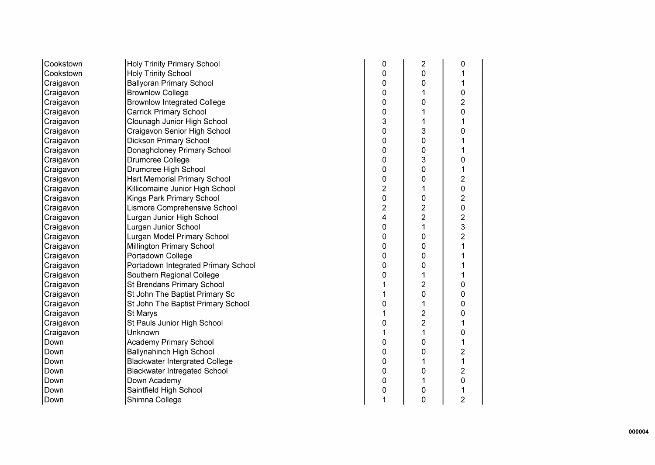| Cookstown | <b>Holy Trinity Primary School</b>    | 0                       | $\overline{2}$ | 0              |
|-----------|---------------------------------------|-------------------------|----------------|----------------|
| Cookstown | <b>Holy Trinity School</b>            | 0                       | 0              |                |
| Craigavon | <b>Ballyoran Primary School</b>       | 0                       | 0              |                |
| Craigavon | <b>Brownlow College</b>               | 0                       |                | 0              |
| Craigavon | <b>Brownlow Integrated College</b>    | 0                       | 0              | $\overline{c}$ |
| Craigavon | <b>Carrick Primary School</b>         | 0                       |                | 0              |
| Craigavon | Clounagh Junior High School           | 3                       | 1              | 1              |
| Craigavon | Craigavon Senior High School          | 0                       | 3              | 0              |
| Craigavon | <b>Dickson Primary School</b>         | 0                       | 0              |                |
| Craigavon | Donaghcloney Primary School           | 0                       | 0              |                |
| Craigavon | Drumcree College                      | 0                       | 3              | 0              |
| Craigavon | Drumcree High School                  | 0                       | 0              |                |
| Craigavon | Hart Memorial Primary School          | 0                       | 0              | $\overline{c}$ |
| Craigavon | Killicomaine Junior High School       | $\overline{\mathbf{c}}$ | 1              | 0              |
| Craigavon | Kings Park Primary School             | 0                       | 0              | $\overline{c}$ |
| Craigavon | Lismore Comprehensive School          | 2                       | $\overline{2}$ | $\mathbf 0$    |
| Craigavon | Lurgan Junior High School             | 4                       | $\overline{2}$ | $\overline{c}$ |
| Craigavon | Lurgan Junior School                  | 0                       | 1              | 3              |
| Craigavon | Lurgan Model Primary School           | 0                       | 0              | $\overline{c}$ |
| Craigavon | Millington Primary School             | 0                       | 0              |                |
| Craigavon | Portadown College                     | 0                       | 0              |                |
| Craigavon | Portadown Integrated Primary School   | 0                       | 0              |                |
| Craigavon | Southern Regional College             | 0                       |                |                |
| Craigavon | St Brendans Primary School            |                         | 2              | 0              |
| Craigavon | St John The Baptist Primary Sc        | 1                       | 0              | 0              |
| Craigavon | St John The Baptist Primary School    | 0                       |                | 0              |
| Craigavon | St Marys                              | 1                       | 2              | 0              |
| Craigavon | St Pauls Junior High School           | 0                       | $\overline{2}$ | 1              |
| Craigavon | Unknown                               | 1                       | 1              | 0              |
| Down      | Academy Primary School                | 0                       | 0              | 1              |
| Down      | <b>Ballynahinch High School</b>       | 0                       | 0              | 2              |
| Down      | <b>Blackwater Intergrated College</b> | 0                       |                | 1              |
| Down      | <b>Blackwater Intregated School</b>   | 0                       | 0              | 2              |
| Down      | Down Academy                          | 0                       | 1              | 0              |
| Down      | Saintfield High School                | 0                       | 0              |                |
| Down      | Shimna College                        | 1                       | 0              | 2              |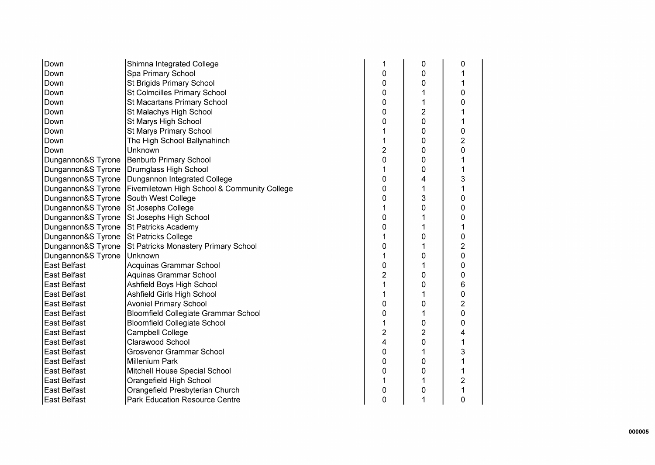| Down                | Shimna Integrated College                    |                | 0              | 0 |
|---------------------|----------------------------------------------|----------------|----------------|---|
| Down                | Spa Primary School                           | 0              | 0              |   |
| Down                | St Brigids Primary School                    | 0              | 0              |   |
| Down                | St Colmcilles Primary School                 | 0              |                | 0 |
| Down                | St Macartans Primary School                  | 0              | 1              | 0 |
| Down                | St Malachys High School                      | 0              | $\overline{2}$ |   |
| Down                | St Marys High School                         | 0              | 0              |   |
| Down                | St Marys Primary School                      |                | 0              | 0 |
| Down                | The High School Ballynahinch                 |                | 0              | 2 |
| Down                | Unknown                                      | 2              | 0              | 0 |
| Dungannon&S Tyrone  | <b>Benburb Primary School</b>                | 0              | 0              |   |
| Dungannon&S Tyrone  | Drumglass High School                        |                | 0              |   |
| Dungannon&S Tyrone  | Dungannon Integrated College                 | 0              | 4              | 3 |
| Dungannon&S Tyrone  | Fivemiletown High School & Community College | 0              | 1              |   |
| Dungannon&S Tyrone  | South West College                           | 0              | 3              | 0 |
| Dungannon&S Tyrone  | St Josephs College                           |                | 0              | 0 |
| Dungannon&S Tyrone  | St Josephs High School                       | 0              |                | 0 |
| Dungannon&S Tyrone  | <b>St Patricks Academy</b>                   | 0              |                |   |
| Dungannon&S Tyrone  | St Patricks College                          |                | 0              | 0 |
| Dungannon&S Tyrone  | St Patricks Monastery Primary School         | 0              |                | 2 |
| Dungannon&S Tyrone  | Unknown                                      |                | 0              | 0 |
| <b>East Belfast</b> | Acquinas Grammar School                      | 0              |                | 0 |
| East Belfast        | Aquinas Grammar School                       | $\overline{c}$ | 0              | 0 |
| East Belfast        | Ashfield Boys High School                    |                | 0              | 6 |
| East Belfast        | Ashfield Girls High School                   |                |                | 0 |
| East Belfast        | <b>Avoniel Primary School</b>                | 0              | 0              | 2 |
| East Belfast        | <b>Bloomfield Collegiate Grammar School</b>  | 0              |                | 0 |
| East Belfast        | <b>Bloomfield Collegiate School</b>          |                | 0              | 0 |
| East Belfast        | Campbell College                             | $\overline{2}$ | $\overline{2}$ | 4 |
| East Belfast        | Clarawood School                             | 4              | 0              |   |
| East Belfast        | Grosvenor Grammar School                     | 0              |                | 3 |
| East Belfast        | <b>Millenium Park</b>                        | 0              | 0              |   |
| East Belfast        | Mitchell House Special School                | 0              | 0              |   |
| East Belfast        | Orangefield High School                      |                |                | 2 |
| East Belfast        | Orangefield Presbyterian Church              | 0              | 0              |   |
| <b>East Belfast</b> | Park Education Resource Centre               | 0              | 1              | 0 |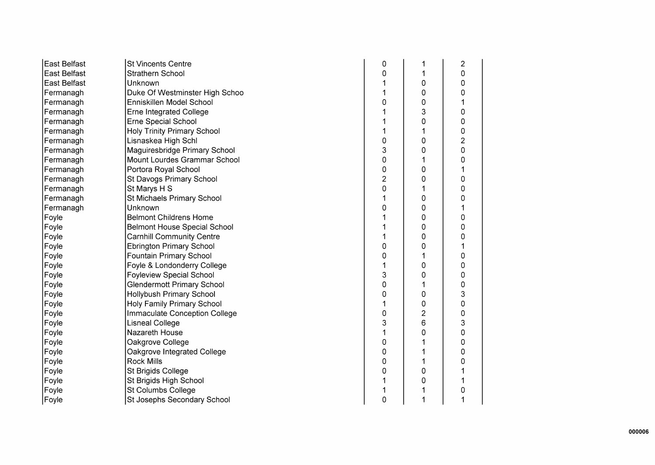| East Belfast        | <b>St Vincents Centre</b>           | 0              |                | $\overline{2}$ |
|---------------------|-------------------------------------|----------------|----------------|----------------|
| <b>East Belfast</b> | Strathern School                    | 0              |                | 0              |
| East Belfast        | Unknown                             |                | 0              | 0              |
| Fermanagh           | Duke Of Westminster High Schoo      |                | 0              | 0              |
| Fermanagh           | Enniskillen Model School            | 0              | 0              |                |
| Fermanagh           | <b>Erne Integrated College</b>      |                | 3              | 0              |
| Fermanagh           | Erne Special School                 |                | 0              | 0              |
| Fermanagh           | <b>Holy Trinity Primary School</b>  |                |                | 0              |
| Fermanagh           | Lisnaskea High Schl                 | 0              | 0              | $\overline{2}$ |
| Fermanagh           | Maguiresbridge Primary School       | 3              | 0              | 0              |
| Fermanagh           | Mount Lourdes Grammar School        | 0              | 1              | 0              |
| Fermanagh           | Portora Royal School                | 0              | 0              |                |
| Fermanagh           | St Davogs Primary School            | $\overline{2}$ | 0              | 0              |
| Fermanagh           | St Marys H S                        | 0              | 1              | 0              |
| Fermanagh           | St Michaels Primary School          |                | 0              | 0              |
| Fermanagh           | Unknown                             | 0              | 0              |                |
| Foyle               | <b>Belmont Childrens Home</b>       |                | 0              | 0              |
| Foyle               | <b>Belmont House Special School</b> |                | 0              | 0              |
| Foyle               | <b>Carnhill Community Centre</b>    |                | 0              | 0              |
| Foyle               | <b>Ebrington Primary School</b>     | 0              | 0              |                |
| Foyle               | Fountain Primary School             | 0              |                | 0              |
| Foyle               | Foyle & Londonderry College         |                | 0              | 0              |
| Foyle               | <b>Foyleview Special School</b>     | 3              | 0              | 0              |
| Foyle               | <b>Glendermott Primary School</b>   | 0              | 1              | 0              |
| Foyle               | <b>Hollybush Primary School</b>     | 0              | 0              | 3              |
| Foyle               | Holy Family Primary School          |                | 0              | 0              |
| Foyle               | Immaculate Conception College       | 0              | $\overline{2}$ | 0              |
| Foyle               | <b>Lisneal College</b>              | 3              | 6              | 3              |
| Foyle               | Nazareth House                      |                | 0              | 0              |
| Foyle               | Oakgrove College                    | 0              |                | 0              |
| Foyle               | Oakgrove Integrated College         | 0              | 1              | 0              |
| Foyle               | <b>Rock Mills</b>                   | 0              | 1              | 0              |
| Foyle               | St Brigids College                  | 0              | 0              |                |
| Foyle               | St Brigids High School              |                | 0              |                |
| Foyle               | St Columbs College                  |                |                | 0              |
| Foyle               | St Josephs Secondary School         | 0              | 1              |                |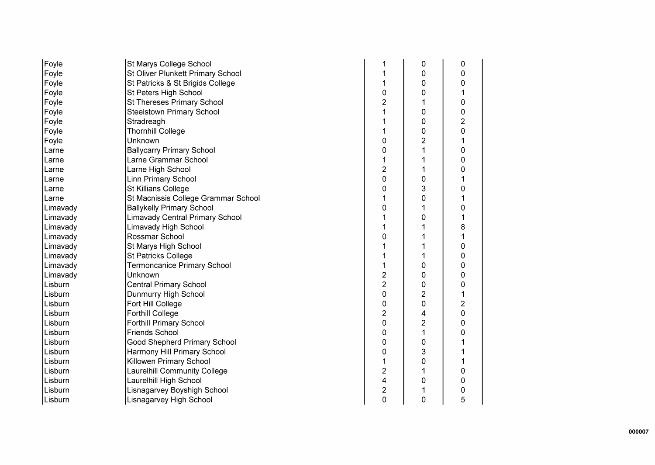| Foyle    | St Marys College School                |                | 0              | 0 |
|----------|----------------------------------------|----------------|----------------|---|
| Foyle    | St Oliver Plunkett Primary School      |                | 0              | 0 |
| Foyle    | St Patricks & St Brigids College       |                | 0              | 0 |
| Foyle    | St Peters High School                  | 0              | 0              |   |
| Foyle    | <b>St Thereses Primary School</b>      | 2              |                | 0 |
| Foyle    | <b>Steelstown Primary School</b>       |                | 0              | 0 |
| Foyle    | Stradreagh                             |                | 0              | 2 |
| Foyle    | <b>Thornhill College</b>               |                | 0              | 0 |
| Foyle    | Unknown                                | 0              | $\overline{c}$ |   |
| Larne    | <b>Ballycarry Primary School</b>       | 0              |                | 0 |
| Larne    | Larne Grammar School                   |                |                | 0 |
| Larne    | Larne High School                      | $\overline{c}$ |                | 0 |
| Larne    | <b>Linn Primary School</b>             | 0              | 0              |   |
| Larne    | St Killians College                    | 0              | 3              | 0 |
| ILarne   | St Macnissis College Grammar School    |                | 0              |   |
| Limavady | <b>Ballykelly Primary School</b>       | 0              |                | 0 |
| Limavady | <b>Limavady Central Primary School</b> |                | 0              |   |
| Limavady | Limavady High School                   |                |                | 8 |
| Limavady | Rossmar School                         | 0              |                |   |
| Limavady | St Marys High School                   |                |                | 0 |
| Limavady | <b>St Patricks College</b>             |                |                | 0 |
| Limavady | <b>Termoncanice Primary School</b>     |                | 0              | 0 |
| Limavady | Unknown                                | 2              | 0              | 0 |
| Lisburn  | <b>Central Primary School</b>          | $\overline{c}$ | 0              | 0 |
| Lisburn  | Dunmurry High School                   | 0              | $\overline{2}$ |   |
| Lisburn  | Fort Hill College                      | 0              | 0              | 2 |
| Lisburn  | <b>Forthill College</b>                | $\overline{2}$ | 4              | 0 |
| Lisburn  | <b>Forthill Primary School</b>         | 0              | $\overline{c}$ | 0 |
| Lisburn  | <b>Friends School</b>                  | 0              | 1              | 0 |
| Lisburn  | <b>Good Shepherd Primary School</b>    | 0              | 0              |   |
| Lisburn  | Harmony Hill Primary School            | 0              | 3              |   |
| Lisburn  | Killowen Primary School                |                | 0              |   |
| Lisburn  | Laurelhill Community College           | 2              |                | 0 |
| Lisburn  | Laurelhill High School                 | 4              | 0              | 0 |
| Lisburn  | Lisnagarvey Boyshigh School            | 2              |                | 0 |
| Lisburn  | Lisnagarvey High School                | 0              | 0              | 5 |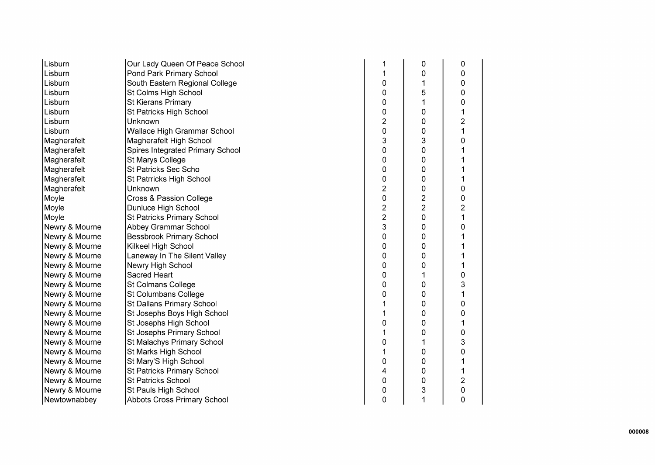| Lisburn        | Our Lady Queen Of Peace School   | 1                       | 0              | 0              |
|----------------|----------------------------------|-------------------------|----------------|----------------|
| Lisburn        | Pond Park Primary School         | 1                       | 0              | 0              |
| Lisburn        | South Eastern Regional College   | 0                       |                | 0              |
| Lisburn        | St Colms High School             | 0                       | 5              | 0              |
| Lisburn        | <b>St Kierans Primary</b>        | 0                       |                | 0              |
| Lisburn        | St Patricks High School          | 0                       | 0              |                |
| Lisburn        | Unknown                          | 2                       | 0              | $\overline{c}$ |
| Lisburn        | Wallace High Grammar School      | 0                       | 0              | 1              |
| Magherafelt    | Magherafelt High School          | 3                       | 3              | 0              |
| Magherafelt    | Spires Integrated Primary School | 0                       | 0              |                |
| Magherafelt    | St Marys College                 | 0                       | 0              |                |
| Magherafelt    | <b>St Patricks Sec Scho</b>      | 0                       | 0              |                |
| Magherafelt    | St Patrricks High School         | 0                       | 0              |                |
| Magherafelt    | Unknown                          | 2                       | 0              | 0              |
| Moyle          | Cross & Passion College          | 0                       | $\overline{2}$ | 0              |
| Moyle          | Dunluce High School              | $\overline{\mathbf{c}}$ | $\overline{2}$ | 2              |
| Moyle          | St Patricks Primary School       | $\overline{2}$          | 0              | 1              |
| Newry & Mourne | Abbey Grammar School             | 3                       | 0              | 0              |
| Newry & Mourne | <b>Bessbrook Primary School</b>  | 0                       | 0              |                |
| Newry & Mourne | Kilkeel High School              | 0                       | 0              |                |
| Newry & Mourne | Laneway In The Silent Valley     | 0                       | 0              |                |
| Newry & Mourne | Newry High School                | 0                       | 0              |                |
| Newry & Mourne | Sacred Heart                     | 0                       |                | 0              |
| Newry & Mourne | St Colmans College               | 0                       | 0              | 3              |
| Newry & Mourne | St Columbans College             | 0                       | 0              |                |
| Newry & Mourne | St Dallans Primary School        |                         | 0              | 0              |
| Newry & Mourne | St Josephs Boys High School      | 1                       | 0              | 0              |
| Newry & Mourne | St Josephs High School           | 0                       | 0              | 1              |
| Newry & Mourne | St Josephs Primary School        | 1                       | 0              | 0              |
| Newry & Mourne | St Malachys Primary School       | 0                       |                | 3              |
| Newry & Mourne | St Marks High School             | 1                       | 0              | 0              |
| Newry & Mourne | St Mary'S High School            | 0                       | 0              |                |
| Newry & Mourne | St Patricks Primary School       | 4                       | 0              |                |
| Newry & Mourne | St Patricks School               | 0                       | 0              | $\overline{c}$ |
| Newry & Mourne | St Pauls High School             | 0                       | 3              | 0              |
| Newtownabbey   | Abbots Cross Primary School      | 0                       | 1              | 0              |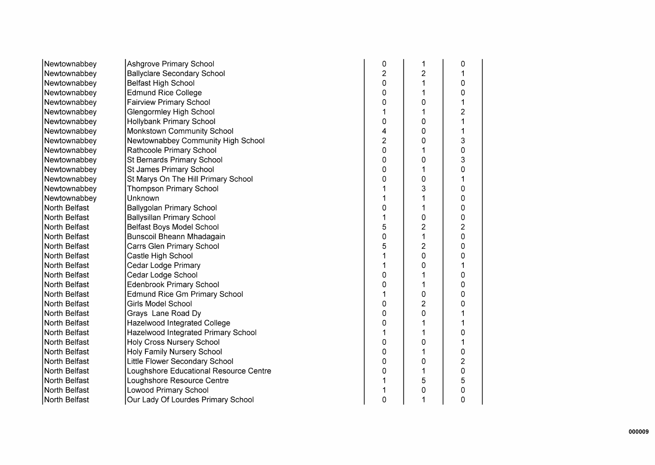| Newtownabbey  | <b>Ashgrove Primary School</b>         | 0 | 1              | 0              |
|---------------|----------------------------------------|---|----------------|----------------|
| Newtownabbey  | <b>Ballyclare Secondary School</b>     | 2 | $\overline{2}$ |                |
| Newtownabbey  | <b>Belfast High School</b>             | 0 | 1              | 0              |
| Newtownabbey  | <b>Edmund Rice College</b>             | 0 | 1              | 0              |
| Newtownabbey  | <b>Fairview Primary School</b>         | 0 | 0              |                |
| Newtownabbey  | Glengormley High School                |   | 1              | $\overline{c}$ |
| Newtownabbey  | <b>Hollybank Primary School</b>        | 0 | 0              |                |
| Newtownabbey  | <b>Monkstown Community School</b>      | 4 | 0              |                |
| Newtownabbey  | Newtownabbey Community High School     | 2 | 0              | 3              |
| Newtownabbey  | Rathcoole Primary School               | 0 | 1              | 0              |
| Newtownabbey  | St Bernards Primary School             | 0 | 0              | 3              |
| Newtownabbey  | St James Primary School                | 0 | 1              | 0              |
| Newtownabbey  | St Marys On The Hill Primary School    | 0 | 0              |                |
| Newtownabbey  | <b>Thompson Primary School</b>         |   | 3              | 0              |
| Newtownabbey  | Unknown                                |   | 1              | 0              |
| North Belfast | <b>Ballygolan Primary School</b>       | 0 | 1              | 0              |
| North Belfast | <b>Ballysillan Primary School</b>      |   | 0              | 0              |
| North Belfast | <b>Belfast Boys Model School</b>       | 5 | $\overline{2}$ | $\overline{2}$ |
| North Belfast | Bunscoil Bheann Mhadagain              | 0 | 1              | 0              |
| North Belfast | Carrs Glen Primary School              | 5 | 2              | 0              |
| North Belfast | Castle High School                     |   | 0              | 0              |
| North Belfast | Cedar Lodge Primary                    |   | 0              |                |
| North Belfast | Cedar Lodge School                     | 0 |                | 0              |
| North Belfast | <b>Edenbrook Primary School</b>        | 0 | 1              | 0              |
| North Belfast | <b>Edmund Rice Gm Primary School</b>   |   | 0              | O              |
| North Belfast | Girls Model School                     | 0 | 2              |                |
| North Belfast | Grays Lane Road Dy                     | 0 | 0              |                |
| North Belfast | Hazelwood Integrated College           | 0 |                |                |
| North Belfast | Hazelwood Integrated Primary School    |   | 1              | 0              |
| North Belfast | <b>Holy Cross Nursery School</b>       | 0 | 0              |                |
| North Belfast | <b>Holy Family Nursery School</b>      | 0 | 1              | 0              |
| North Belfast | Little Flower Secondary School         | 0 | 0              | $\overline{c}$ |
| North Belfast | Loughshore Educational Resource Centre | 0 | 1              | 0              |
| North Belfast | Loughshore Resource Centre             |   | 5              | 5              |
| North Belfast | <b>Lowood Primary School</b>           |   | 0              | 0              |
| North Belfast | Our Lady Of Lourdes Primary School     | 0 | 1              | 0              |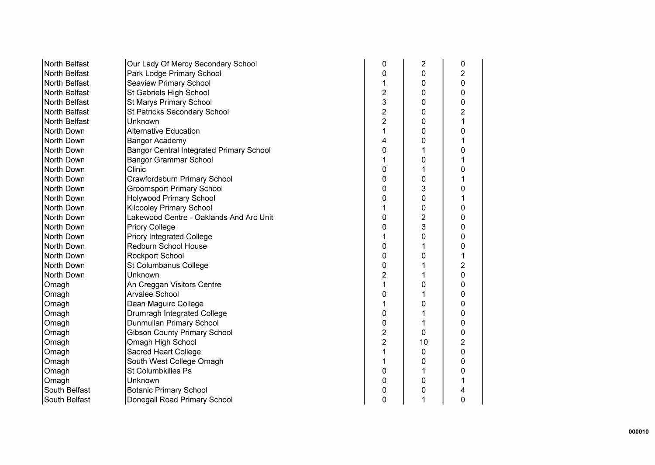| North Belfast | Our Lady Of Mercy Secondary School       | 0              | $\overline{c}$ | 0              |
|---------------|------------------------------------------|----------------|----------------|----------------|
| North Belfast | Park Lodge Primary School                | 0              | 0              | $\overline{c}$ |
| North Belfast | <b>Seaview Primary School</b>            |                | 0              | 0              |
| North Belfast | St Gabriels High School                  | $\overline{c}$ | 0              | 0              |
| North Belfast | St Marys Primary School                  | 3              | 0              | 0              |
| North Belfast | St Patricks Secondary School             | $\overline{2}$ | 0              | $\overline{2}$ |
| North Belfast | Unknown                                  | $\overline{2}$ | 0              | 1              |
| North Down    | <b>Alternative Education</b>             | 1              | 0              | 0              |
| North Down    | Bangor Academy                           | 4              | 0              | 1              |
| North Down    | Bangor Central Integrated Primary School | 0              |                | 0              |
| North Down    | Bangor Grammar School                    |                | 0              |                |
| North Down    | Clinic                                   | 0              |                | 0              |
| North Down    | Crawfordsburn Primary School             | 0              | 0              |                |
| North Down    | <b>Groomsport Primary School</b>         | 0              | 3              | 0              |
| North Down    | <b>Holywood Primary School</b>           | 0              | 0              |                |
| North Down    | Kilcooley Primary School                 |                | 0              | 0              |
| North Down    | Lakewood Centre - Oaklands And Arc Unit  | 0              | $\overline{2}$ | 0              |
| North Down    | <b>Priory College</b>                    | 0              | 3              | 0              |
| North Down    | <b>Priory Integrated College</b>         |                | 0              | 0              |
| North Down    | Redburn School House                     | 0              |                | 0              |
| North Down    | Rockport School                          | 0              | 0              | 1              |
| North Down    | St Columbanus College                    | 0              |                | $\overline{c}$ |
| North Down    | Unknown                                  | 2              |                | 0              |
| Omagh         | An Creggan Visitors Centre               | 1              | 0              | 0              |
| Omagh         | Arvalee School                           | 0              |                | 0              |
| Omagh         | Dean Maguirc College                     |                | 0              | 0              |
| Omagh         | Drumragh Integrated College              | 0              |                | 0              |
| Omagh         | Dunmullan Primary School                 | 0              |                | 0              |
| Omagh         | <b>Gibson County Primary School</b>      | $\overline{2}$ | 0              | 0              |
| Omagh         | Omagh High School                        | $\overline{2}$ | 10             | 2              |
| Omagh         | <b>Sacred Heart College</b>              | 1              | 0              | 0              |
| Omagh         | South West College Omagh                 |                | 0              | 0              |
| Omagh         | <b>St Columbkilles Ps</b>                | 0              |                | 0              |
| Omagh         | Unknown                                  | 0              | 0              |                |
| South Belfast | <b>Botanic Primary School</b>            | 0              | 0              | 4              |
| South Belfast | Donegall Road Primary School             | 0              | 1              | 0              |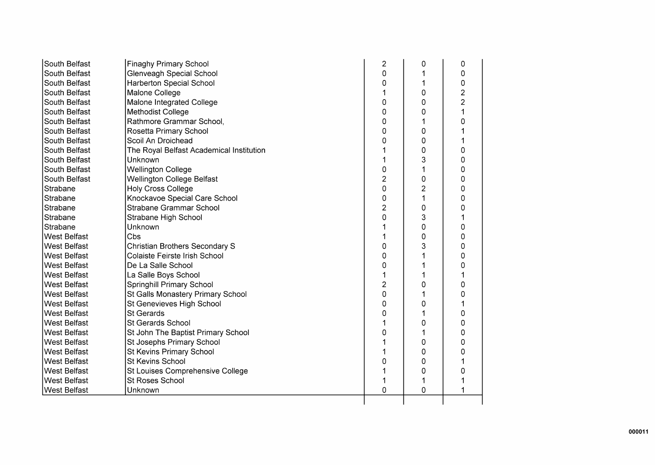| South Belfast       | <b>Finaghy Primary School</b>            | $\overline{2}$ | 0              | 0              |
|---------------------|------------------------------------------|----------------|----------------|----------------|
| South Belfast       | Glenveagh Special School                 | 0              |                | 0              |
| South Belfast       | <b>Harberton Special School</b>          | 0              | 1              | 0              |
| South Belfast       | Malone College                           | 1              | 0              | $\overline{c}$ |
| South Belfast       | Malone Integrated College                | 0              | 0              | $\overline{2}$ |
| South Belfast       | <b>Methodist College</b>                 | 0              | 0              | 1              |
| South Belfast       | Rathmore Grammar School,                 | 0              |                | 0              |
| South Belfast       | Rosetta Primary School                   | 0              | 0              | 1              |
| South Belfast       | Scoil An Droichead                       | 0              | 0              | 1              |
| South Belfast       | The Royal Belfast Academical Institution |                | 0              | 0              |
| South Belfast       | <b>Unknown</b>                           | 1              | 3              | 0              |
| South Belfast       | <b>Wellington College</b>                | 0              | 1              | 0              |
| South Belfast       | <b>Wellington College Belfast</b>        | $\overline{c}$ | 0              | 0              |
| Strabane            | <b>Holy Cross College</b>                | 0              | $\overline{2}$ | 0              |
| Strabane            | Knockavoe Special Care School            | 0              | 1              | 0              |
| Strabane            | Strabane Grammar School                  | $\overline{2}$ | 0              | 0              |
| Strabane            | Strabane High School                     | 0              | 3              | 1              |
| Strabane            | Unknown                                  |                | 0              | 0              |
| <b>West Belfast</b> | Cbs                                      |                | 0              | 0              |
| <b>West Belfast</b> | <b>Christian Brothers Secondary S</b>    | 0              | 3              | 0              |
| <b>West Belfast</b> | <b>Colaiste Feirste Irish School</b>     | 0              |                | 0              |
| West Belfast        | De La Salle School                       | 0              |                | 0              |
| <b>West Belfast</b> | La Salle Boys School                     |                |                | 1              |
| <b>West Belfast</b> | Springhill Primary School                | 2              | 0              | 0              |
| <b>West Belfast</b> | St Galls Monastery Primary School        | 0              |                | 0              |
| <b>West Belfast</b> | St Genevieves High School                | 0              | 0              | 1              |
| <b>West Belfast</b> | <b>St Gerards</b>                        | 0              |                | 0              |
| West Belfast        | St Gerards School                        |                | 0              | 0              |
| West Belfast        | St John The Baptist Primary School       | 0              | 1              | 0              |
| <b>West Belfast</b> | St Josephs Primary School                |                | 0              | 0              |
| <b>West Belfast</b> | St Kevins Primary School                 | 1              | 0              | 0              |
| <b>West Belfast</b> | <b>St Kevins School</b>                  | 0              | 0              |                |
| West Belfast        | St Louises Comprehensive College         |                | 0              | 0              |
| West Belfast        | <b>St Roses School</b>                   |                |                |                |
| <b>West Belfast</b> | Unknown                                  | 0              | 0              | 1              |
|                     |                                          |                |                |                |